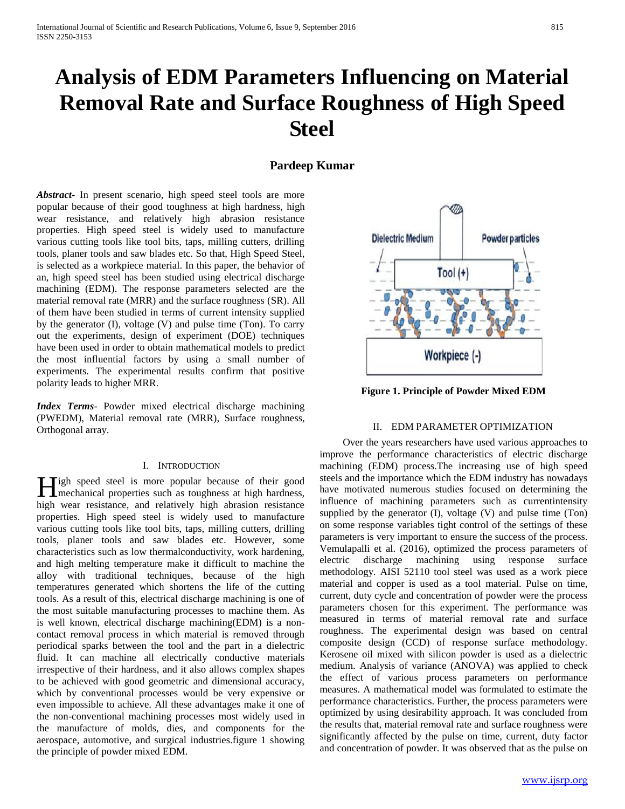# **Analysis of EDM Parameters Influencing on Material Removal Rate and Surface Roughness of High Speed Steel**

# **Pardeep Kumar**

*Abstract***-** In present scenario, high speed steel tools are more popular because of their good toughness at high hardness, high wear resistance, and relatively high abrasion resistance properties. High speed steel is widely used to manufacture various cutting tools like tool bits, taps, milling cutters, drilling tools, planer tools and saw blades etc. So that, High Speed Steel, is selected as a workpiece material. In this paper, the behavior of an, high speed steel has been studied using electrical discharge machining (EDM). The response parameters selected are the material removal rate (MRR) and the surface roughness (SR). All of them have been studied in terms of current intensity supplied by the generator (I), voltage (V) and pulse time (Ton). To carry out the experiments, design of experiment (DOE) techniques have been used in order to obtain mathematical models to predict the most influential factors by using a small number of experiments. The experimental results confirm that positive polarity leads to higher MRR.

*Index Terms*- Powder mixed electrical discharge machining (PWEDM), Material removal rate (MRR), Surface roughness, Orthogonal array.

### I. INTRODUCTION

**Tigh speed steel is more popular because of their good H**igh speed steel is more popular because of their good mechanical properties such as toughness at high hardness, high wear resistance, and relatively high abrasion resistance properties. High speed steel is widely used to manufacture various cutting tools like tool bits, taps, milling cutters, drilling tools, planer tools and saw blades etc. However, some characteristics such as low thermalconductivity, work hardening, and high melting temperature make it difficult to machine the alloy with traditional techniques, because of the high temperatures generated which shortens the life of the cutting tools. As a result of this, electrical discharge machining is one of the most suitable manufacturing processes to machine them. As is well known, electrical discharge machining(EDM) is a noncontact removal process in which material is removed through periodical sparks between the tool and the part in a dielectric fluid. It can machine all electrically conductive materials irrespective of their hardness, and it also allows complex shapes to be achieved with good geometric and dimensional accuracy, which by conventional processes would be very expensive or even impossible to achieve. All these advantages make it one of the non-conventional machining processes most widely used in the manufacture of molds, dies, and components for the aerospace, automotive, and surgical industries.figure 1 showing the principle of powder mixed EDM.



**Figure 1. Principle of Powder Mixed EDM**

### II. EDM PARAMETER OPTIMIZATION

 Over the years researchers have used various approaches to improve the performance characteristics of electric discharge machining (EDM) process.The increasing use of high speed steels and the importance which the EDM industry has nowadays have motivated numerous studies focused on determining the influence of machining parameters such as currentintensity supplied by the generator (I), voltage (V) and pulse time (Ton) on some response variables tight control of the settings of these parameters is very important to ensure the success of the process. Vemulapalli et al. (2016), optimized the process parameters of electric discharge machining using response surface methodology. AISI 52110 tool steel was used as a work piece material and copper is used as a tool material. Pulse on time, current, duty cycle and concentration of powder were the process parameters chosen for this experiment. The performance was measured in terms of material removal rate and surface roughness. The experimental design was based on central composite design (CCD) of response surface methodology. Kerosene oil mixed with silicon powder is used as a dielectric medium. Analysis of variance (ANOVA) was applied to check the effect of various process parameters on performance measures. A mathematical model was formulated to estimate the performance characteristics. Further, the process parameters were optimized by using desirability approach. It was concluded from the results that, material removal rate and surface roughness were significantly affected by the pulse on time, current, duty factor and concentration of powder. It was observed that as the pulse on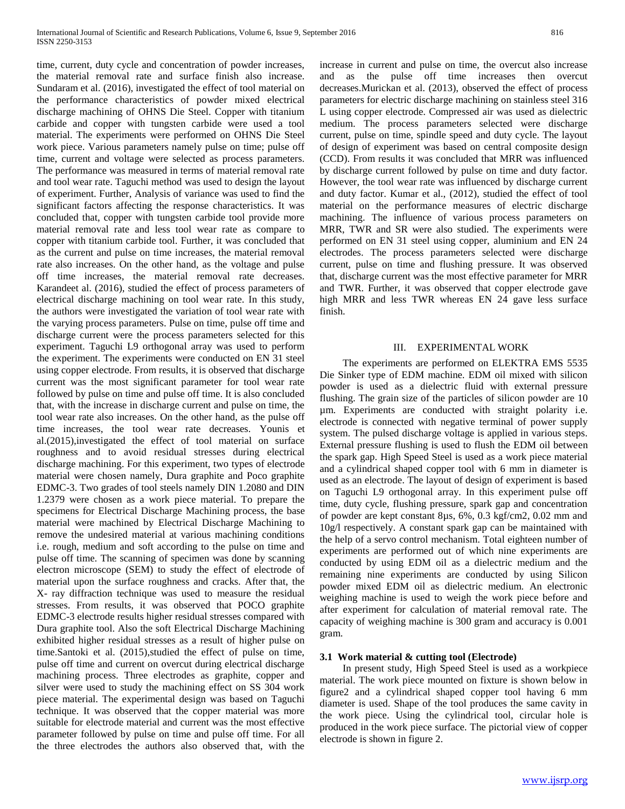time, current, duty cycle and concentration of powder increases, the material removal rate and surface finish also increase. Sundaram et al. (2016), investigated the effect of tool material on the performance characteristics of powder mixed electrical discharge machining of OHNS Die Steel. Copper with titanium carbide and copper with tungsten carbide were used a tool material. The experiments were performed on OHNS Die Steel work piece. Various parameters namely pulse on time; pulse off time, current and voltage were selected as process parameters. The performance was measured in terms of material removal rate and tool wear rate. Taguchi method was used to design the layout of experiment. Further, Analysis of variance was used to find the significant factors affecting the response characteristics. It was concluded that, copper with tungsten carbide tool provide more material removal rate and less tool wear rate as compare to copper with titanium carbide tool. Further, it was concluded that as the current and pulse on time increases, the material removal rate also increases. On the other hand, as the voltage and pulse off time increases, the material removal rate decreases. Karandeet al. (2016), studied the effect of process parameters of electrical discharge machining on tool wear rate. In this study, the authors were investigated the variation of tool wear rate with the varying process parameters. Pulse on time, pulse off time and discharge current were the process parameters selected for this experiment. Taguchi L9 orthogonal array was used to perform the experiment. The experiments were conducted on EN 31 steel using copper electrode. From results, it is observed that discharge current was the most significant parameter for tool wear rate followed by pulse on time and pulse off time. It is also concluded that, with the increase in discharge current and pulse on time, the tool wear rate also increases. On the other hand, as the pulse off time increases, the tool wear rate decreases. Younis et al.(2015),investigated the effect of tool material on surface roughness and to avoid residual stresses during electrical discharge machining. For this experiment, two types of electrode material were chosen namely, Dura graphite and Poco graphite EDMC-3. Two grades of tool steels namely DIN 1.2080 and DIN 1.2379 were chosen as a work piece material. To prepare the specimens for Electrical Discharge Machining process, the base material were machined by Electrical Discharge Machining to remove the undesired material at various machining conditions i.e. rough, medium and soft according to the pulse on time and pulse off time. The scanning of specimen was done by scanning electron microscope (SEM) to study the effect of electrode of material upon the surface roughness and cracks. After that, the X- ray diffraction technique was used to measure the residual stresses. From results, it was observed that POCO graphite EDMC-3 electrode results higher residual stresses compared with Dura graphite tool. Also the soft Electrical Discharge Machining exhibited higher residual stresses as a result of higher pulse on time.Santoki et al. (2015),studied the effect of pulse on time, pulse off time and current on overcut during electrical discharge machining process. Three electrodes as graphite, copper and silver were used to study the machining effect on SS 304 work piece material. The experimental design was based on Taguchi technique. It was observed that the copper material was more suitable for electrode material and current was the most effective parameter followed by pulse on time and pulse off time. For all the three electrodes the authors also observed that, with the

increase in current and pulse on time, the overcut also increase and as the pulse off time increases then overcut decreases.Murickan et al. (2013), observed the effect of process parameters for electric discharge machining on stainless steel 316 L using copper electrode. Compressed air was used as dielectric medium. The process parameters selected were discharge current, pulse on time, spindle speed and duty cycle. The layout of design of experiment was based on central composite design (CCD). From results it was concluded that MRR was influenced by discharge current followed by pulse on time and duty factor. However, the tool wear rate was influenced by discharge current and duty factor. Kumar et al., (2012), studied the effect of tool material on the performance measures of electric discharge machining. The influence of various process parameters on MRR, TWR and SR were also studied. The experiments were performed on EN 31 steel using copper, aluminium and EN 24 electrodes. The process parameters selected were discharge current, pulse on time and flushing pressure. It was observed that, discharge current was the most effective parameter for MRR and TWR. Further, it was observed that copper electrode gave high MRR and less TWR whereas EN 24 gave less surface finish.

#### III. EXPERIMENTAL WORK

 The experiments are performed on ELEKTRA EMS 5535 Die Sinker type of EDM machine. EDM oil mixed with silicon powder is used as a dielectric fluid with external pressure flushing. The grain size of the particles of silicon powder are 10 µm. Experiments are conducted with straight polarity i.e. electrode is connected with negative terminal of power supply system. The pulsed discharge voltage is applied in various steps. External pressure flushing is used to flush the EDM oil between the spark gap. High Speed Steel is used as a work piece material and a cylindrical shaped copper tool with 6 mm in diameter is used as an electrode. The layout of design of experiment is based on Taguchi L9 orthogonal array. In this experiment pulse off time, duty cycle, flushing pressure, spark gap and concentration of powder are kept constant 8µs, 6%, 0.3 kgf/cm2, 0.02 mm and 10g/l respectively. A constant spark gap can be maintained with the help of a servo control mechanism. Total eighteen number of experiments are performed out of which nine experiments are conducted by using EDM oil as a dielectric medium and the remaining nine experiments are conducted by using Silicon powder mixed EDM oil as dielectric medium. An electronic weighing machine is used to weigh the work piece before and after experiment for calculation of material removal rate. The capacity of weighing machine is 300 gram and accuracy is 0.001 gram.

## **3.1 Work material & cutting tool (Electrode)**

 In present study, High Speed Steel is used as a workpiece material. The work piece mounted on fixture is shown below in figure2 and a cylindrical shaped copper tool having 6 mm diameter is used. Shape of the tool produces the same cavity in the work piece. Using the cylindrical tool, circular hole is produced in the work piece surface. The pictorial view of copper electrode is shown in figure 2.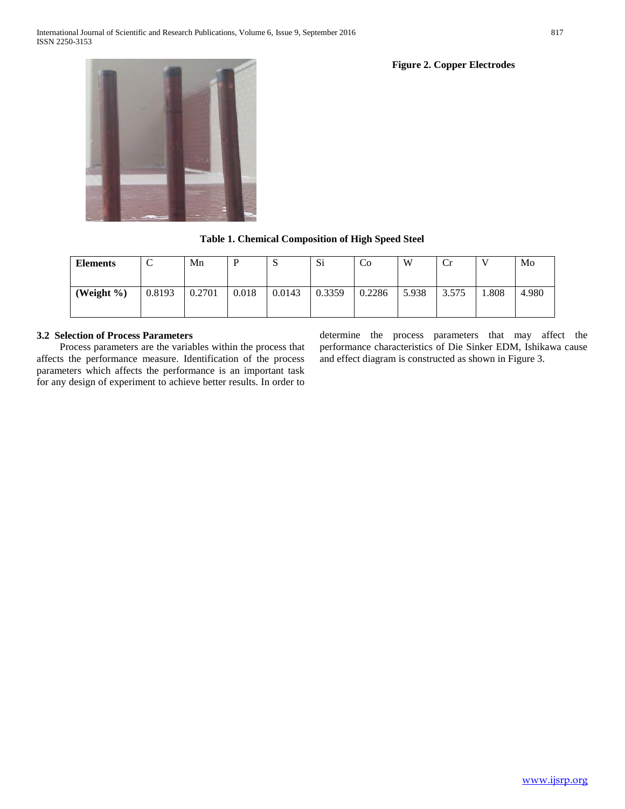**Figure 2. Copper Electrodes**



**Table 1. Chemical Composition of High Speed Steel**

| <b>Elements</b> | ◡      | Mn     |       | ື      | Si     | C <sub>o</sub> | W     | Cr    |      | Mo    |
|-----------------|--------|--------|-------|--------|--------|----------------|-------|-------|------|-------|
| (Weight %)      | 0.8193 | 0.2701 | 0.018 | 0.0143 | 0.3359 | 0.2286         | 5.938 | 3.575 | .808 | 4.980 |

# **3.2 Selection of Process Parameters**

 Process parameters are the variables within the process that affects the performance measure. Identification of the process parameters which affects the performance is an important task for any design of experiment to achieve better results. In order to determine the process parameters that may affect the performance characteristics of Die Sinker EDM, Ishikawa cause and effect diagram is constructed as shown in Figure 3.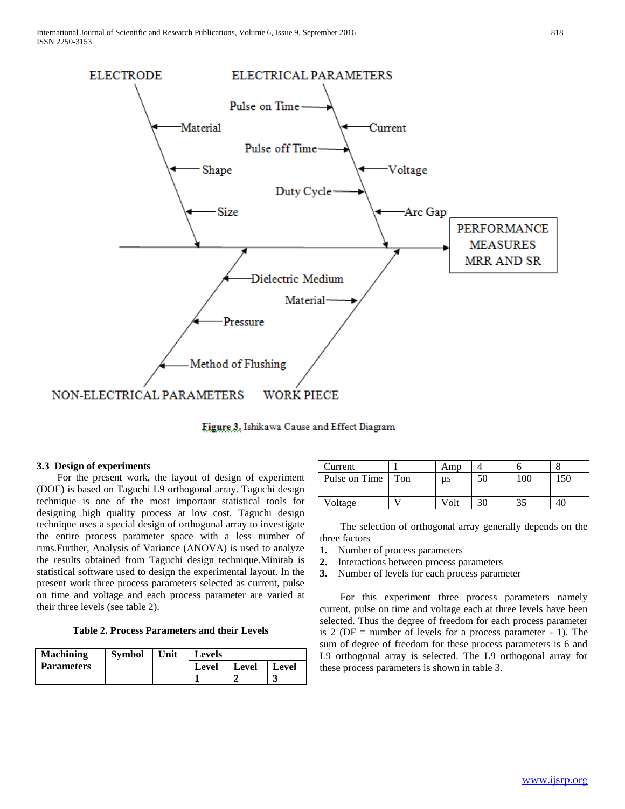

Figure 3. Ishikawa Cause and Effect Diagram

# **3.3 Design of experiments**

 For the present work, the layout of design of experiment (DOE) is based on Taguchi L9 orthogonal array. Taguchi design technique is one of the most important statistical tools for designing high quality process at low cost. Taguchi design technique uses a special design of orthogonal array to investigate the entire process parameter space with a less number of runs.Further, Analysis of Variance (ANOVA) is used to analyze the results obtained from Taguchi design technique.Minitab is statistical software used to design the experimental layout. In the present work three process parameters selected as current, pulse on time and voltage and each process parameter are varied at their three levels (see table 2).

**Table 2. Process Parameters and their Levels**

| <b>Machining</b>  | <b>Symbol</b> | Unit | <b>Levels</b> |       |              |
|-------------------|---------------|------|---------------|-------|--------------|
| <b>Parameters</b> |               |      | <b>Level</b>  | Level | <b>Level</b> |
|                   |               |      |               |       | لہ           |

| Current       |     | Amp  |    |     |     |
|---------------|-----|------|----|-----|-----|
| Pulse on Time | Ton | us   |    | 100 | 150 |
|               |     |      |    |     |     |
| Voltage       |     | Volt | 30 |     |     |

 The selection of orthogonal array generally depends on the three factors

- **1.** Number of process parameters
- **2.** Interactions between process parameters
- **3.** Number of levels for each process parameter

 For this experiment three process parameters namely current, pulse on time and voltage each at three levels have been selected. Thus the degree of freedom for each process parameter is 2 ( $DF$  = number of levels for a process parameter - 1). The sum of degree of freedom for these process parameters is 6 and L9 orthogonal array is selected. The L9 orthogonal array for these process parameters is shown in table 3.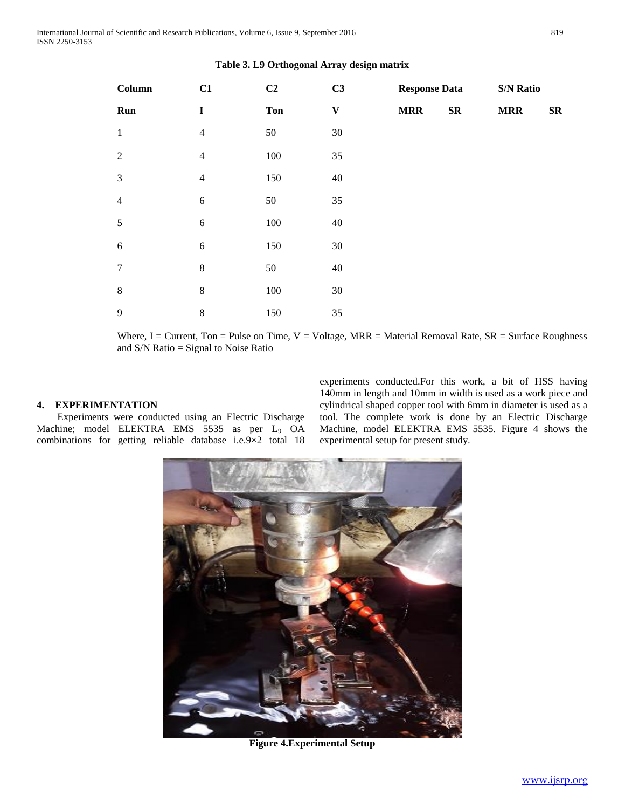| Column           | C1             | C <sub>2</sub> | C3                        | <b>Response Data</b> |            | <b>S/N Ratio</b> |                  |
|------------------|----------------|----------------|---------------------------|----------------------|------------|------------------|------------------|
| Run              | $\mathbf I$    | <b>Ton</b>     | $\boldsymbol{\mathrm{V}}$ | <b>MRR</b>           | ${\bf SR}$ | <b>MRR</b>       | $S_{\mathbf{R}}$ |
| $1\,$            | $\overline{4}$ | 50             | 30                        |                      |            |                  |                  |
| 2                | $\overline{4}$ | $100\,$        | 35                        |                      |            |                  |                  |
| $\mathfrak{Z}$   | $\overline{4}$ | 150            | 40                        |                      |            |                  |                  |
| $\overline{4}$   | $\sqrt{6}$     | 50             | 35                        |                      |            |                  |                  |
| 5                | $\sqrt{6}$     | $100\,$        | 40                        |                      |            |                  |                  |
| $\sqrt{6}$       | $\sqrt{6}$     | 150            | 30                        |                      |            |                  |                  |
| $\boldsymbol{7}$ | $\,8\,$        | 50             | 40                        |                      |            |                  |                  |
| $\,8\,$          | $\,8\,$        | $100\,$        | 30                        |                      |            |                  |                  |
| 9                | $\,8\,$        | 150            | 35                        |                      |            |                  |                  |

# **Table 3. L9 Orthogonal Array design matrix**

Where, I = Current, Ton = Pulse on Time,  $V = Voltage$ , MRR = Material Removal Rate,  $SR = Surface$  Roughness and S/N Ratio = Signal to Noise Ratio

# **4. EXPERIMENTATION**

 Experiments were conducted using an Electric Discharge Machine; model ELEKTRA EMS 5535 as per L<sub>9</sub> OA combinations for getting reliable database i.e.9×2 total 18 experiments conducted.For this work, a bit of HSS having 140mm in length and 10mm in width is used as a work piece and cylindrical shaped copper tool with 6mm in diameter is used as a tool. The complete work is done by an Electric Discharge Machine, model ELEKTRA EMS 5535. Figure 4 shows the experimental setup for present study.



**Figure 4.Experimental Setup**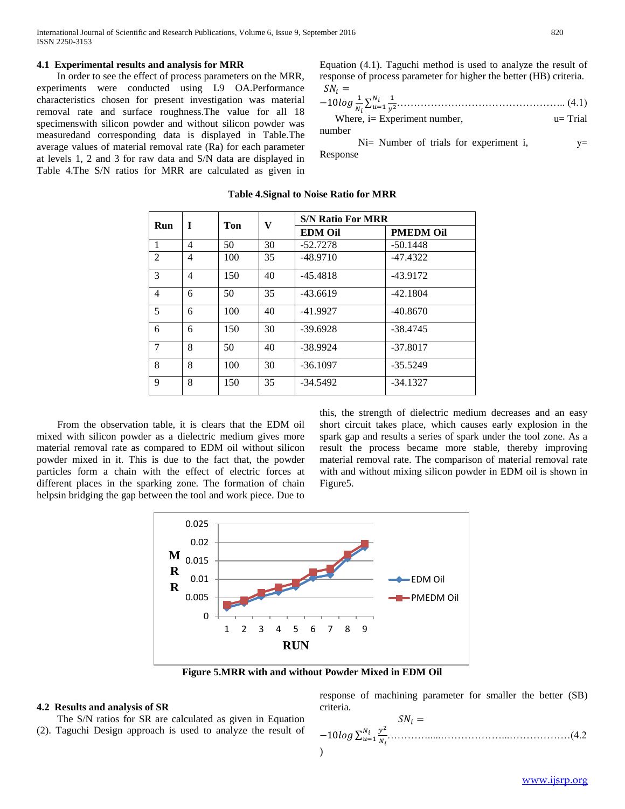# **4.1 Experimental results and analysis for MRR**

 In order to see the effect of process parameters on the MRR, experiments were conducted using L9 OA.Performance characteristics chosen for present investigation was material removal rate and surface roughness.The value for all 18 specimenswith silicon powder and without silicon powder was measuredand corresponding data is displayed in Table.The average values of material removal rate (Ra) for each parameter at levels 1, 2 and 3 for raw data and S/N data are displayed in Table 4.The S/N ratios for MRR are calculated as given in

Equation (4.1). Taguchi method is used to analyze the result of response of process parameter for higher the better (HB) criteria.  $SN_i =$ 

−10 <sup>1</sup> ∑ 1 2 =1 ………………………………………….. (4.1) Where, i= Experiment number, u= Trial number

Ni= Number of trials for experiment i,  $v=$ Response

| Run            | T | Ton | V  | <b>S/N Ratio For MRR</b> |                  |  |
|----------------|---|-----|----|--------------------------|------------------|--|
|                |   |     |    | <b>EDM Oil</b>           | <b>PMEDM Oil</b> |  |
| 1              | 4 | 50  | 30 | $-52.7278$               | $-50.1448$       |  |
| 2              | 4 | 100 | 35 | $-48.9710$               | $-47.4322$       |  |
| 3              | 4 | 150 | 40 | $-45.4818$               | $-43.9172$       |  |
| $\overline{4}$ | 6 | 50  | 35 | $-43.6619$               | $-42.1804$       |  |
| 5              | 6 | 100 | 40 | $-41.9927$               | $-40.8670$       |  |
| 6              | 6 | 150 | 30 | $-39.6928$               | $-38.4745$       |  |
| 7              | 8 | 50  | 40 | $-38.9924$               | $-37.8017$       |  |
| 8              | 8 | 100 | 30 | $-36.1097$               | $-35.5249$       |  |
| 9              | 8 | 150 | 35 | $-34.5492$               | $-34.1327$       |  |

#### **Table 4.Signal to Noise Ratio for MRR**

 From the observation table, it is clears that the EDM oil mixed with silicon powder as a dielectric medium gives more material removal rate as compared to EDM oil without silicon powder mixed in it. This is due to the fact that, the powder particles form a chain with the effect of electric forces at different places in the sparking zone. The formation of chain helpsin bridging the gap between the tool and work piece. Due to

this, the strength of dielectric medium decreases and an easy short circuit takes place, which causes early explosion in the spark gap and results a series of spark under the tool zone. As a result the process became more stable, thereby improving material removal rate. The comparison of material removal rate with and without mixing silicon powder in EDM oil is shown in Figure5.



**Figure 5.MRR with and without Powder Mixed in EDM Oil**

# **4.2 Results and analysis of SR**

 The S/N ratios for SR are calculated as given in Equation (2). Taguchi Design approach is used to analyze the result of response of machining parameter for smaller the better (SB) criteria.  $C<sub>N</sub>$ 

−10 ∑ 2 =1 ………….....………………...………………(4.2 )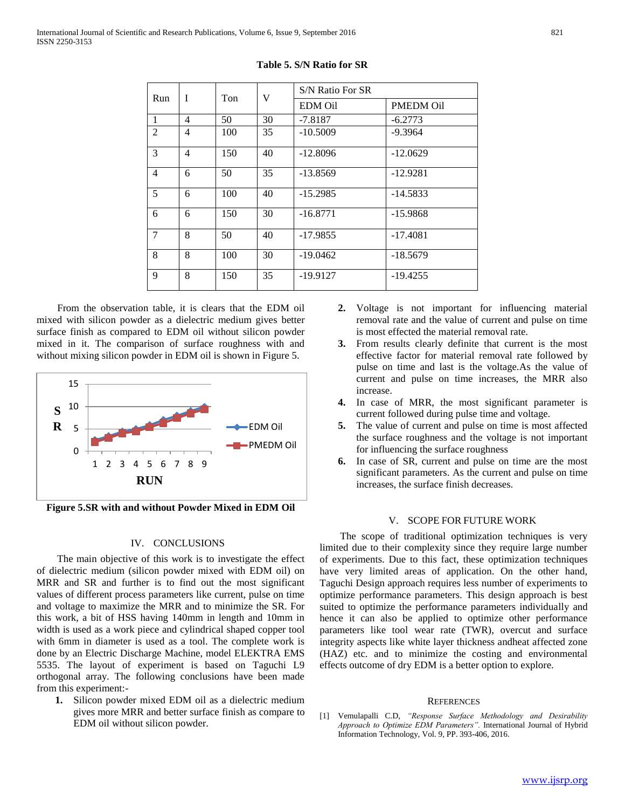| I<br>Run       |                | Ton | V              | S/N Ratio For SR |            |  |
|----------------|----------------|-----|----------------|------------------|------------|--|
|                |                |     | <b>EDM</b> Oil | <b>PMEDM Oil</b> |            |  |
| $\mathbf{1}$   | 4              | 50  | 30             | $-7.8187$        | $-6.2773$  |  |
| $\overline{2}$ | 4              | 100 | 35             | $-10.5009$       | $-9.3964$  |  |
| 3              | $\overline{4}$ | 150 | 40             | $-12.8096$       | $-12.0629$ |  |
| $\overline{4}$ | 6              | 50  | 35             | $-13.8569$       | $-12.9281$ |  |
| 5              | 6              | 100 | 40             | $-15.2985$       | $-14.5833$ |  |
| 6              | 6              | 150 | 30             | $-16.8771$       | $-15.9868$ |  |
| $\overline{7}$ | 8              | 50  | 40             | $-17.9855$       | $-17.4081$ |  |
| 8              | 8              | 100 | 30             | $-19.0462$       | $-18.5679$ |  |
| 9              | 8              | 150 | 35             | -19.9127         | $-19.4255$ |  |

**Table 5. S/N Ratio for SR**

 From the observation table, it is clears that the EDM oil mixed with silicon powder as a dielectric medium gives better surface finish as compared to EDM oil without silicon powder mixed in it. The comparison of surface roughness with and without mixing silicon powder in EDM oil is shown in Figure 5.



**Figure 5.SR with and without Powder Mixed in EDM Oil**

#### IV. CONCLUSIONS

 The main objective of this work is to investigate the effect of dielectric medium (silicon powder mixed with EDM oil) on MRR and SR and further is to find out the most significant values of different process parameters like current, pulse on time and voltage to maximize the MRR and to minimize the SR. For this work, a bit of HSS having 140mm in length and 10mm in width is used as a work piece and cylindrical shaped copper tool with 6mm in diameter is used as a tool. The complete work is done by an Electric Discharge Machine, model ELEKTRA EMS 5535. The layout of experiment is based on Taguchi L9 orthogonal array. The following conclusions have been made from this experiment:-

**1.** Silicon powder mixed EDM oil as a dielectric medium gives more MRR and better surface finish as compare to EDM oil without silicon powder.

- **2.** Voltage is not important for influencing material removal rate and the value of current and pulse on time is most effected the material removal rate.
- **3.** From results clearly definite that current is the most effective factor for material removal rate followed by pulse on time and last is the voltage.As the value of current and pulse on time increases, the MRR also increase.
- **4.** In case of MRR, the most significant parameter is current followed during pulse time and voltage.
- **5.** The value of current and pulse on time is most affected the surface roughness and the voltage is not important for influencing the surface roughness
- **6.** In case of SR, current and pulse on time are the most significant parameters. As the current and pulse on time increases, the surface finish decreases.

## V. SCOPE FOR FUTURE WORK

 The scope of traditional optimization techniques is very limited due to their complexity since they require large number of experiments. Due to this fact, these optimization techniques have very limited areas of application. On the other hand, Taguchi Design approach requires less number of experiments to optimize performance parameters. This design approach is best suited to optimize the performance parameters individually and hence it can also be applied to optimize other performance parameters like tool wear rate (TWR), overcut and surface integrity aspects like white layer thickness andheat affected zone (HAZ) etc. and to minimize the costing and environmental effects outcome of dry EDM is a better option to explore.

#### **REFERENCES**

[1] Vemulapalli C.D, *"Response Surface Methodology and Desirability Approach to Optimize EDM Parameters".* International Journal of Hybrid Information Technology, Vol. 9, PP. 393-406, 2016.